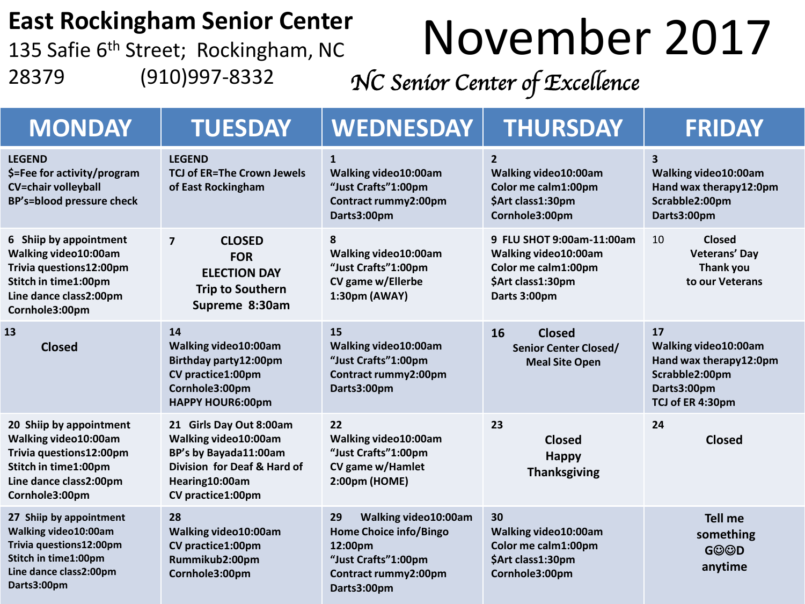#### **East Rockingham Senior Center**

135 Safie 6<sup>th</sup> Street; Rockingham, NC 28379 (910)997-8332

# November 2017

*NC Senior Center of Excellence* 

| <b>MONDAY</b>                                                                                                                                  | <b>TUESDAY</b>                                                                                                                                 | <b>WEDNESDAY</b>                                                                                                              | <b>THURSDAY</b>                                                                                               | <b>FRIDAY</b>                                                                                              |
|------------------------------------------------------------------------------------------------------------------------------------------------|------------------------------------------------------------------------------------------------------------------------------------------------|-------------------------------------------------------------------------------------------------------------------------------|---------------------------------------------------------------------------------------------------------------|------------------------------------------------------------------------------------------------------------|
| <b>LEGEND</b><br>\$=Fee for activity/program<br><b>CV=chair volleyball</b><br>BP's=blood pressure check                                        | <b>LEGEND</b><br><b>TCJ of ER=The Crown Jewels</b><br>of East Rockingham                                                                       | $\mathbf{1}$<br>Walking video10:00am<br>"Just Crafts"1:00pm<br>Contract rummy2:00pm<br>Darts3:00pm                            | $\overline{2}$<br>Walking video10:00am<br>Color me calm1:00pm<br>\$Art class1:30pm<br>Cornhole3:00pm          | $\overline{\mathbf{3}}$<br>Walking video10:00am<br>Hand wax therapy12:0pm<br>Scrabble2:00pm<br>Darts3:00pm |
| 6 Shiip by appointment<br>Walking video10:00am<br>Trivia questions12:00pm<br>Stitch in time1:00pm<br>Line dance class2:00pm<br>Cornhole3:00pm  | $\overline{7}$<br><b>CLOSED</b><br><b>FOR</b><br><b>ELECTION DAY</b><br><b>Trip to Southern</b><br>Supreme 8:30am                              | 8<br>Walking video10:00am<br>"Just Crafts"1:00pm<br>CV game w/Ellerbe<br>1:30pm (AWAY)                                        | 9 FLU SHOT 9:00am-11:00am<br>Walking video10:00am<br>Color me calm1:00pm<br>\$Art class1:30pm<br>Darts 3:00pm | <b>Closed</b><br>10<br>Veterans' Day<br>Thank you<br>to our Veterans                                       |
| 13<br><b>Closed</b>                                                                                                                            | 14<br>Walking video10:00am<br>Birthday party12:00pm<br>CV practice1:00pm<br>Cornhole3:00pm<br><b>HAPPY HOUR6:00pm</b>                          | 15<br>Walking video10:00am<br>"Just Crafts"1:00pm<br>Contract rummy2:00pm<br>Darts3:00pm                                      | 16<br><b>Closed</b><br><b>Senior Center Closed/</b><br><b>Meal Site Open</b>                                  | 17<br>Walking video10:00am<br>Hand wax therapy12:0pm<br>Scrabble2:00pm<br>Darts3:00pm<br>TCJ of ER 4:30pm  |
| 20 Shiip by appointment<br>Walking video10:00am<br>Trivia questions12:00pm<br>Stitch in time1:00pm<br>Line dance class2:00pm<br>Cornhole3:00pm | 21 Girls Day Out 8:00am<br>Walking video10:00am<br>BP's by Bayada11:00am<br>Division for Deaf & Hard of<br>Hearing10:00am<br>CV practice1:00pm | 22<br>Walking video10:00am<br>"Just Crafts"1:00pm<br>CV game w/Hamlet<br>2:00pm (HOME)                                        | 23<br><b>Closed</b><br><b>Happy</b><br><b>Thanksgiving</b>                                                    | 24<br><b>Closed</b>                                                                                        |
| 27 Shiip by appointment<br>Walking video10:00am<br>Trivia questions12:00pm<br>Stitch in time1:00pm<br>Line dance class2:00pm<br>Darts3:00pm    | 28<br>Walking video10:00am<br>CV practice1:00pm<br>Rummikub2:00pm<br>Cornhole3:00pm                                                            | Walking video10:00am<br>29<br>Home Choice info/Bingo<br>12:00pm<br>"Just Crafts"1:00pm<br>Contract rummy2:00pm<br>Darts3:00pm | 30<br>Walking video10:00am<br>Color me calm1:00pm<br>\$Art class1:30pm<br>Cornhole3:00pm                      | <b>Tell me</b><br>something<br><b>GOOD</b><br>anytime                                                      |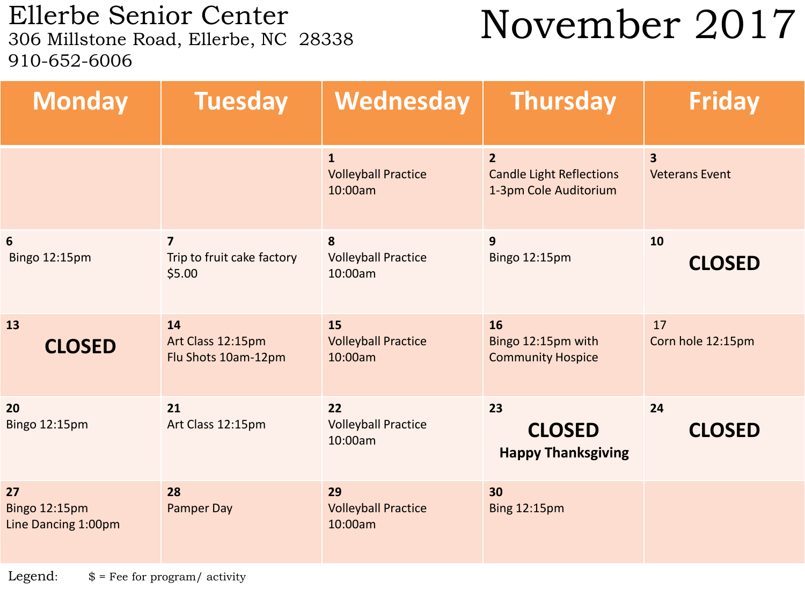Ellerbe Senior Center<br>306 Millstone Road, Ellerbe, NC 28338 910-652-6006

### November 2017

| <b>Monday</b>                              | <b>Tuesday</b>                                         | Wednesday                                             | <b>Thursday</b>                                                            | <b>Friday</b>                                    |
|--------------------------------------------|--------------------------------------------------------|-------------------------------------------------------|----------------------------------------------------------------------------|--------------------------------------------------|
|                                            |                                                        | $\mathbf{1}$<br><b>Volleyball Practice</b><br>10:00am | $\overline{2}$<br><b>Candle Light Reflections</b><br>1-3pm Cole Auditorium | $\overline{\mathbf{3}}$<br><b>Veterans Event</b> |
| $6\phantom{1}6$<br><b>Bingo 12:15pm</b>    | $\overline{7}$<br>Trip to fruit cake factory<br>\$5.00 | 8<br><b>Volleyball Practice</b><br>10:00am            | 9<br>Bingo 12:15pm                                                         | 10<br><b>CLOSED</b>                              |
| 13<br><b>CLOSED</b>                        | 14<br>Art Class 12:15pm<br>Flu Shots 10am-12pm         | 15<br><b>Volleyball Practice</b><br>10:00am           | 16<br>Bingo 12:15pm with<br><b>Community Hospice</b>                       | 17<br>Corn hole 12:15pm                          |
| 20<br>Bingo 12:15pm                        | 21<br>Art Class 12:15pm                                | 22<br><b>Volleyball Practice</b><br>10:00am           | 23<br><b>CLOSED</b><br><b>Happy Thanksgiving</b>                           | 24<br><b>CLOSED</b>                              |
| 27<br>Bingo 12:15pm<br>Line Dancing 1:00pm | 28<br><b>Pamper Day</b>                                | 29<br><b>Volleyball Practice</b><br>10:00am           | 30<br><b>Bing 12:15pm</b>                                                  |                                                  |